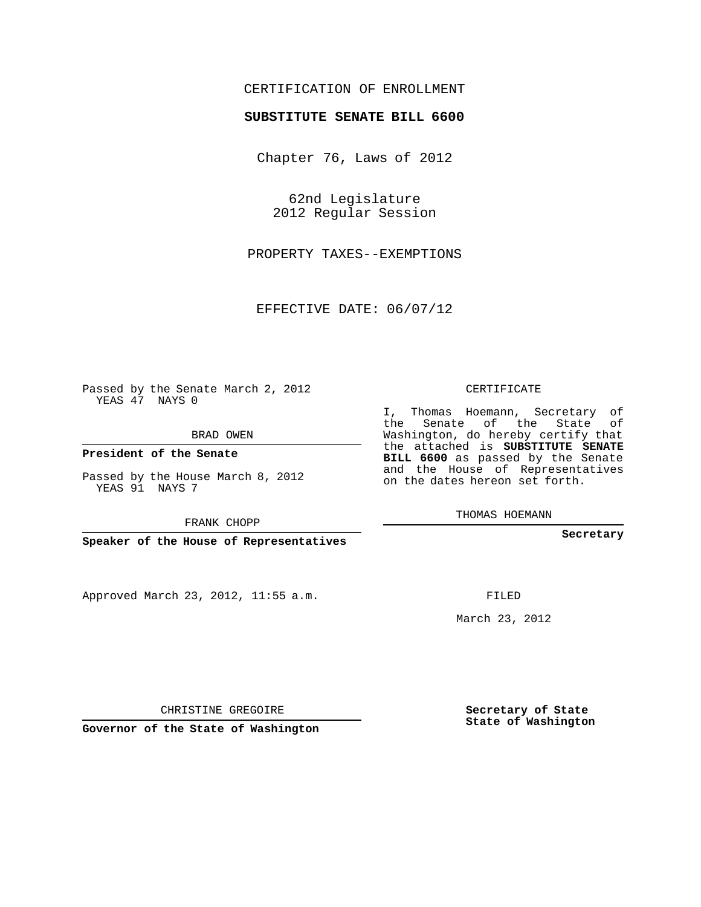## CERTIFICATION OF ENROLLMENT

## **SUBSTITUTE SENATE BILL 6600**

Chapter 76, Laws of 2012

62nd Legislature 2012 Regular Session

PROPERTY TAXES--EXEMPTIONS

EFFECTIVE DATE: 06/07/12

Passed by the Senate March 2, 2012 YEAS 47 NAYS 0

BRAD OWEN

**President of the Senate**

Passed by the House March 8, 2012 YEAS 91 NAYS 7

FRANK CHOPP

**Speaker of the House of Representatives**

Approved March 23, 2012, 11:55 a.m.

CERTIFICATE

I, Thomas Hoemann, Secretary of the Senate of the State of Washington, do hereby certify that the attached is **SUBSTITUTE SENATE BILL 6600** as passed by the Senate and the House of Representatives on the dates hereon set forth.

THOMAS HOEMANN

**Secretary**

FILED

March 23, 2012

**Secretary of State State of Washington**

CHRISTINE GREGOIRE

**Governor of the State of Washington**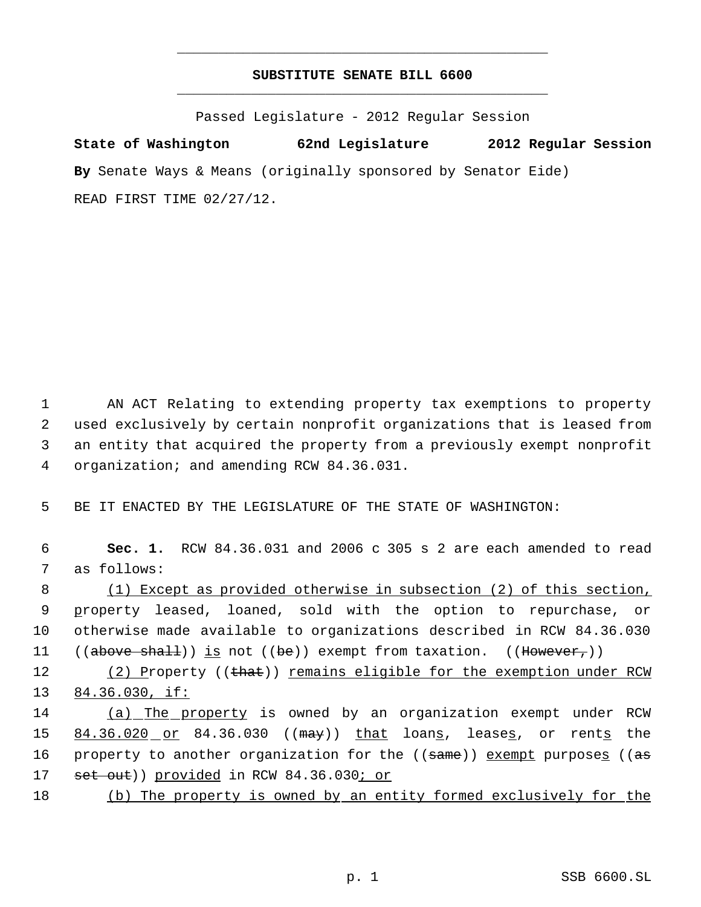## **SUBSTITUTE SENATE BILL 6600** \_\_\_\_\_\_\_\_\_\_\_\_\_\_\_\_\_\_\_\_\_\_\_\_\_\_\_\_\_\_\_\_\_\_\_\_\_\_\_\_\_\_\_\_\_

\_\_\_\_\_\_\_\_\_\_\_\_\_\_\_\_\_\_\_\_\_\_\_\_\_\_\_\_\_\_\_\_\_\_\_\_\_\_\_\_\_\_\_\_\_

Passed Legislature - 2012 Regular Session

**State of Washington 62nd Legislature 2012 Regular Session By** Senate Ways & Means (originally sponsored by Senator Eide) READ FIRST TIME 02/27/12.

 AN ACT Relating to extending property tax exemptions to property used exclusively by certain nonprofit organizations that is leased from an entity that acquired the property from a previously exempt nonprofit organization; and amending RCW 84.36.031.

5 BE IT ENACTED BY THE LEGISLATURE OF THE STATE OF WASHINGTON:

 6 **Sec. 1.** RCW 84.36.031 and 2006 c 305 s 2 are each amended to read 7 as follows:

 (1) Except as provided otherwise in subsection (2) of this section, property leased, loaned, sold with the option to repurchase, or otherwise made available to organizations described in RCW 84.36.030  $((above - shall))$  is not  $((be))$  exempt from taxation.  $((However,))$ 

12 (2) Property ((that)) remains eligible for the exemption under RCW 13 84.36.030, if:

14 (a) The property is owned by an organization exempt under RCW 15 84.36.020 or 84.36.030 ((may)) that loans, leases, or rents the 16 property to another organization for the ((same)) exempt purposes ((as 17 set out)) provided in RCW 84.36.030; or

18 (b) The property is owned by an entity formed exclusively for the